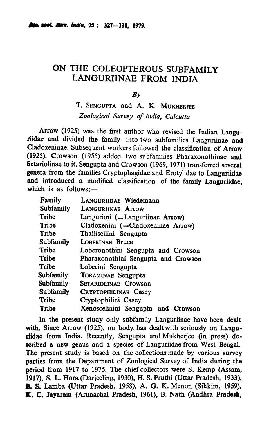# ON THE COLEOPTEROUS SUBFAMILY LANGURIINAE FROM INDIA

 $Bv$ 

T. SENGUPTA and A. K. MUKHERJEE *Zoological Survey of India, Calcutta* 

Arrow (1925) was the first author who revised the Indian Languriidae and divided the family into two subfamilies Languriinae and Cladoxeninae. Subsequent workers followed the classification of Arrow (1925). Crowson (1955) added two subfamilies Pharaxonothinae and Setariolinae to it. Sengupta and Crowson (1969, 1971) transferred several genera from the families Cryptophagidae and Erotylidae to Languriidae and introduced a modified classification of the family Languriidae, which is as follows: $\frac{1}{1}$ 

| Family           | LANGURIIDAE Wiedemann               |
|------------------|-------------------------------------|
| <b>Subfamily</b> | <b>LANGURIINAE Arrow</b>            |
| Tribe            | Languriini (= Languriinae Arrow)    |
| Tribe            | Cladoxenini (= Cladoxeninae Arrow)  |
| Tribe            | Thallisellini Sengupta              |
| Subfamily        | <b>LOBERINAE Bruce</b>              |
| <b>Tribe</b>     | Loberonothini Sengupta and Crowson  |
| Tribe            | Pharaxonothini Sengupta and Crowson |
| Tribe            | Loberini Sengupta                   |
| <b>Subfamily</b> | <b>TORAMINAE Sengupta</b>           |
| Subfamily        | <b>SETARIOLINAE Crowson</b>         |
| <b>Subfamily</b> | <b>CRYPTOPHILINAE Casey</b>         |
| Tribe            | Cryptophilini Casey                 |
| Tribe            | Xenoscelinini Sengupta and Crowson  |

In the present study only subfamily Languriinae have been dealt with. Since Arrow (1925), no body has dealt with seriously on Languriidae from India. Recently, Sengupta and Mukherjee (in press) described a new genus and a species of Languriidae from West Bengal. The present study is based on the collections made by various survey parties from the Department of Zoological Survey of India during the period from 1917 to 1975. The chief collectors were S. Kemp (Assam, 1917), S. L. Hora (Darjeeling, 1930), H. S. Pruthi {Uttar Pradesh, 1933), B. S. Lamba {Uttar Pradesh, 1958), A. G. K. Menon (Sikkim, 1959), K. C. Jayaram (Arunachal Pradesh, 1961), B. Nath (Andhra Pradosh,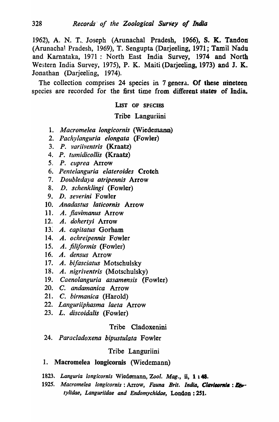1962), A. N. T. Joseph (Arunachal Pradesh, 1966), S. K. Tandon (Arunachal Pradesh, 1969), T. Sengupta (Darjeeling, 1971; Tamil Nadu and Kamataka, 1971 : North East India Survey, 1974 and North Western India Survey, 1975), P. K. Maiti (Darjeeling, 1973) and J. K. Jonathan (Darjeeling, 1974).

The collection comprises 24 species in 7 genera. Of these nineteen species are recorded for the first time from different states of India.

## LIST OF SPECIES

## Tribe Languriini

- *1. Macrome/ea /ongicornis* (Wiedemann)
- 2. *Pachylanguria elongata* (Fowler)
- *3. P. variiventris* (Kraatz)
- 4. P. *tumidicollis* (Kraatz)
- s. *P. cuprea* Arrow
- 6. *Pentelanguria elateroides* Crotch
- *7. Doubledaya atripenni9* Arrow
- *8. D. schenk/ingi* (Fowler)
- 9. D. *severini* Fowler
- 10. *Anadastus laticornis* Arrow
- 11. A. *flavimanus* Arrow
- 12. A. *doherty;* Arrow
- 13~ A. *capitatus* Gorham
- 14. A. *ochreipennis* Fowler
- 15. A. *filiformis* (Fowler)
- 16. A. *densus* Arrow
- 17. A. *bifasciatus* Motschulsky
- 18. A. *nigriventris* (Motschulsky)
- 19. *Caenolanguria assamensis* (Fowler)
- 20. C. *andamanica* Arrow
- 21. C. *birmanica* (Harold)
- 22. *Languriiphasma laeta* Arrow
- *23. L. discoidalis* (Fowler)

# Tribe Cladoxenini

24. *Paracladoxena bipustulata* Fowler

# Tribe Languriini

# 1. Macromelea longicornis (Wiedemann)

- *1823. Languria /ongicornis* Wiedemann, *Zool. Mag.,* ii, 1 148.
- 1925. Macromelea longicornis: Arrow, Fauna Brit. India, Clavicornia: Et*tylidae, Languriidae and Endomychidae,* London: *2S1.*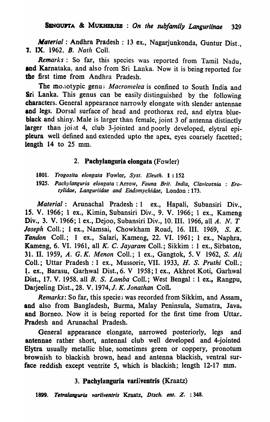*Material:* Andhra Pradesh: 13 ex., Nagarjunkonda, Guntur Dist., **7. IX.** 1962, *B. Nath Coll.* 

*Remarks:* So far, this species was reported from Tamil Nadu, and Karnataka, and also from Sri Lanka. Now it is being reported for the first time from Andhra Pradesh.

The monotypic genu; *Macromelea* is confined to South India and Sri Lanka. This genus can be easily distinguished by the following characters. General appearance narrowly elongate with slender antennae and legs. Dorsal surface of head and prothorax red, and elytra blue black and shiny. Male is larger than female, joint 3 of antenna distinctly larger than joint 4, club 3-jointed and poorly developed, elytral epipleura well defined and extended upto the apex, eyes coarsely facetted; length 14 to 25 mm.

# 2. Pachylanguria elongata (Fowler)

*1801. Trogosita elongata* Fowler, *Syst. Eleuth.* 1: 152

*1925. Pac!Jylanguria elongata:* Arrow, *Fauna Brit. India, Clav;cornia* : *Ero-Iylidae, Languriidae and Endomychidae, London: 173.* 

*Material:* Arunachal Pradesh: 1 ex., Hapali, Subansiri Div., 15. V. 1966; 1 ex., Kimin, Subansiri Div., 9. V. 1966; 1 ex., Kameng Div., 3. V. 1966; 1 ex., Dejoo, Subansiri Div., 10. III. 1966, all A. N. T Joseph Coll.; 1 ex., Namsai, Chowkham Road, 16. III. 1969, S. K. Tandon Coll.; 1 ex., Salari, Kameng, 22. VI. 1961; 1 ex., Naphra, Kameng, 6. VI. 1961, all *K.* C. *Jayaram* CoIl.; Sikkim : 1 ex., Sitbaton, 31. II. 1959, *A.* G. *K. Menon* ColI.; 1 ex., Gangtok, S. V 1962, S. *Ali*  Coll.; Uttar Pradesh: 1 ex., Mussorie, VII. 1933, H. S. Pruthi Coll.; 1. ex., Barasu, Garhwal Dist., 6. V 1958; 1 ex., Akhrot Koti, Garhwal Dist., 17. V. 1958. all *B.* S. *Lamba* ColI.; West Bengal: 1 ex., Rangpu, Darjeeling Dist., 28. V. 1974, *J. K. Jonathan* Coli.

*Remarks:* So far, this species was recorded from Sikkim, and Assam. and also from Bangladesh, Burma, Malay Peninsula, Sumatra, Java, and Borneo. Now it is being reported for the first time from Uttar. Pradesh and Arunachal Pradesh.

General appearance elongate, narrowed posteriorly, legs and antennae rather short, antennal club well developed and 4-jointed Elytra usually metallic blue, sometimes green or -coppery, pronotum brownish to blackish brown, head and antenna blackish, ventral surface reddish except ventrite 5, which is blackish; length 12-17 mm.

## 3. Pachylanguria variiventris (Kraatz)

*1899. Tetraiang18ia varllventris* Kraatz, *Dtsch. en'.* Z. : 348.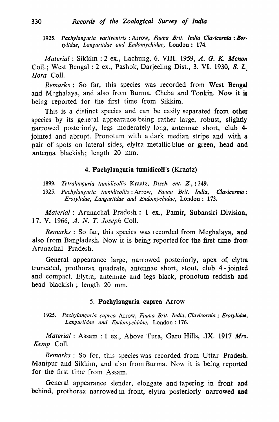1925. Pachylanguria variiventris: Arrow, Fauna Brit. India Clavicornia: Eor. *tylidae, Languriidae and Endomychidae, London: 174.* 

*Material:* Sikkim : 2 ex., Lachung, 6. VIII. 1959, *A. G. K. Menon*  ColI.; West Bengal: 2 ex., Pashok, Darjeeling Dist., 3. VI. 1930, S. L. *Hora* ColI.

*Remarks:* So far, this species was recorded from West Bengal and M:ghalaya, and also from Burma, Cheba and Tonkin. Now it is being reported for the first time from Sikkim.

This is a distinct species and can be easily separated from other species by its general appearance being rather large, robust, slightly narrowed posteriorly, legs moderately long, antennae short, club 4 jointed and abrupt. Pronotum with a dark median stripe and with a pair of spots on lateral sides, elytra metallic blue or green, head and antenna blackish; length 20 mm.

## 4. Pachylanzuria tumidicoll's (Kraatz)

- 1899. Tetralanguria tumidicollis Kraatz, Dtsch. ent. Z.,: 349.
- *1925. Pachylanguria tunlidicollis:* Arrow, *Fauna Brit. India, Clavicornio: Erotylidae, Languriidae and Endomychidae, London: 173.*

*Material:* Arunachal Pradesh: 1 ex., Pamir, Subansiri Division, 17. V. 1966, *A. N. T. Joseph* ColI.

*Remarks*: So far, this species was recorded from Meghalaya, and also from Bangladesh. Now it is being reported for the first time from Arunachal Pradesh.

General appearance large, narrowed posteriorly, apex of elytra truncated, prothorax quadrate, antennae short, stout, club 4 - jointed and compact. Elytra, antennae and legs black, pronotum reddish and head blackish ; length 20 mm.

## 5. Pachylanguria cuprea Arrow

1925. Pachylanguria cuprea Arrow, Fauna Brit. India, Clavicornia ; Erotylidae, Languriidae and Endomychidae, London: 176.

*Material:* Assam: 1 ex., Above Tura, Garo Hills, .IX. 1917 *Mrs. Kemp* ColI.

*Remarks:* So for, this species was recorded from Uttar Pradesh. Manipur and Sikkim, and also from Burma. Now it is being reported for the first time from Assam.

General appearance slender, elongate and tapering in front and behind, prothorax narrowed in front, elytra posteriorly narrowed and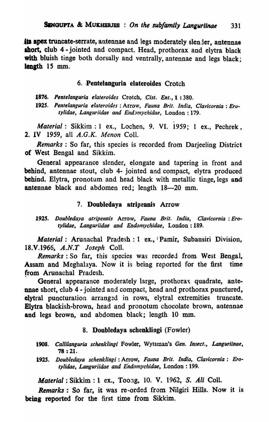its apex truncate-serrate, antennae and legs moderately slender, antennae ahort, club 4 - jointed and compact. Head, prothorax and elytra black with bluish tinge both dorsally and ventrally, antennae and legs black; length 15 mm.

#### 6. Pentelanguria elateroides Crotch

1876. Pentelanguria *elateroides* Crotch, *Cist. Ent.*, 1:380.

1925. *Pentelanguria elateroides* : Arrow, *Fauna Brit. India, Clav/cornla: Erotylidae, Languriidae and EndJmychidae,* London: 179 .

. *Material:* Sikkim: 1 ex., Lochen, 9. VI. 1959; 1 ex., Pechrek, 2. IV 1959, all *A.G.K. Menon* CoIl.

*Remarks:* So far, this species is recorded from Darjeeling District of West Bengal and Sikkim.

General appearance slender, elongate and tapering in front and behind, antennae stout, club 4- jointed and compact, elytra produced behind. Elytra, pronotum and head black with metallic tinge, legs and antennae black and abdomen red; length 18-20 mm.

#### 7. Doubledaya atripennis Arrow

*1925. Doubledaya atripennis* Arrow, *Fauna Brit. India, Clavicornia: Erotylidae, Languriidae and Endomychidae,* London: 189.

*Material:* Arunachal Pradesh: 1 ex., Pamir, Subansiri Division, lS.V.1966, A.N.T *Joseph* Coli.

*Remarks:* So far, this species was recorded from West Bengal, Assam and Meghalaya. Now it is being reported for the first time from Arunachal Pradesh.

General appearance moderately large, prothorax quadrate, antennae short, club 4 - jointed and compact, head and prothorax punctured, elytral puncturation arranged in rows, elytral extremities truncate. Elytra blackish-brown, head and pronotum chocolate brown, antennae and legs brown, and abdomen black; length 10 mm.

#### 8. Doubledaya scbenklingi (Fowler)

- *1908. Callilanguria schenklingi* Fowler, Wytsman's *Gen. Insect., Langurlinae,*  78 : 21.
- *1925. Doubledaya schenklingi:* Arrow, *Fauna Brit. India, Clavicornia: Erotylidae, Languriidae and Endomychidae,* London : 199.

*Material*: Sikkim: 1 ex., Toong, 10. V. 1962, S. *Ali* Coll.

Remarks: So far, it was re~orded from Nilgiri Hills. Now it is being reported for the first time from Sikkim.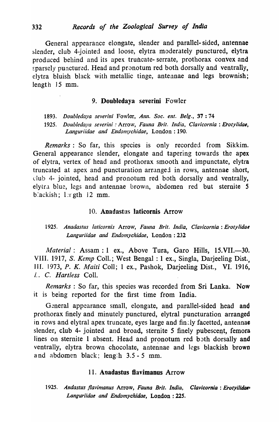General appearance elongate, slender and parallel- sided, antennae slender, club 4-jointed and loose, elytra moderately punctured, elytra produced behind and its apex truncate- serrate, prothorax convex and sparsely punctured. Head and pronotum red both dorsally and ventrally, elytra bluish black with metallic tinge, antennae and legs brownish; length 15 mm.

#### 9. DoubJedaya severini Fowler

*1893. Doubledaya severini* Fowler, *Ann. Soc. ent. Belg.,* 37 : 74

1925. *Doubledaya severini : Arrow, Fauna Brit. India, Clavicornia : Erotylidae, Languriidae and Endomychidae,* London: 190.

*Remarks:* So far, this species is only recorded from Sikkim. General appearance slender, elongate and tapering towards the apex of elytra, vertex of head and prothorax smooth and impunctate, elytra truncated at apex and puncturation arranged in rows, antennae short, club 4- jointed, head and pronotum red both dorsally and ventrally, elytra blue, legs and antennae brown, abdomen red but sternite 5 blackish;  $1 \text{ or }$  gth  $12 \text{ mm}$ .

#### 10. Anadastas laticornis Arrow

## *1925. Anadastus laticornis* Arrow, *Fauna Brit. India, Clavicornia: Eroly/idae*  Languriidae and Endomychidae, London: 232

*Material:* Assam: 1 ex., Above Tura, Garo Hills, 15.VII.-30. VIII. 1917, S. *Kemp* Coll.; West Bengal: 1 ex., Singla, Darjeeling Dist. III. 1973, *P. K. Maiti* ColI; 1 ex., Pashok, Darjeeling Dist., VI. 1916, L. C. *Hartless* ColI.

*Remarks* : So far, this species was recorded from Sri Lanka. Now it is being reported for the first time from India.

General appearance small, elongate, and parallel-sided head and prothorax finely and minutely punctured, elytral puncturation arranged in rows and elytral apex truncate, eyes large and fin:ly facetted, antennae slender, club 4- jointed and broad, sternite 5 finely pubescent, femora lines on sternite 1 absent. Head and pronotum red both dorsally and ventrally, elytra brown chocolate, antennae and legs blackish brown and abdomen black; length  $3.5 - 5$  mm.

#### 11. Anadastus flavimanus Arrow

1925. Andastus flavimanus Arrow, Fauna Brit. India, Clavicornia: Erotyilidae<sup>,</sup> *Languriidae and Endomychidae,* London: 225.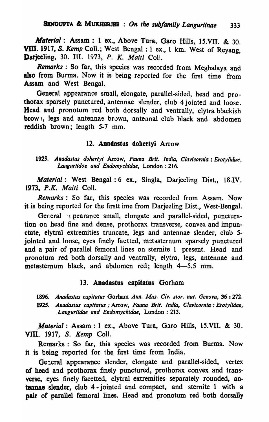*Material:* Assam: 1 ex., Above Tura, Garo Hills, IS.VII. & 30. VIII. 1917, *S. Kemp* Coll.; West Bengal: 1 ex., 1 km. West of Reyang, Darjeeling, 30. Ill. 1973, *P. K. Maili* Coli.

*Remarks:* So far, this species was recorded from Meghalaya and also from Burma. Now it is being reported for the first time from Assam and West Bengal.

General appearance small, elongate, parallel-sided, head and prothorax sparsely punctured, antennae slender, club 4 jointed and loose. Head and pronotum red both dorsally and ventrally, elytra blackish brow), legs and antennae brown, antennal club black and abdomen reddish brown; length 5-7 mm.

#### 12. Anadastus dohertyi Arrow

*1925. Anadastus dohertYi* Arrow, *Fauna Brit. India, Clavicornia* : *Erotylidae, Lauguriidoe and Endomychidae,* London : 216.

*Material:* West Bengal: 6 ex., Singla, Darjeeling Dist., IS.IV. *1973. P.K. Maili* CoIl.

Remarks: So far, this species was recorded from Assam. Now it is being reported for the firstt ime from Darjeeling Dist., West-Bengal.

General is pearance small, elongate and parallel-sided, puncturation on head fine and dense, prothorax transverse, convex and impunetate, elytral extremities truncate, legs and antennae slender, club 5 jointed and loose, eyes finely factted, metasternum sparsely punctured and a pair of parallel femoral lines on sternite 1 present. Head and pronotum red both dorsally and ventrally, elytra, legs, antennae and metasternum black, and abdomen red; length 4-5.5 mm.

#### 13. Anadastus capitatas Gorham

*1896. Anadastus capitatus* Gorham *Ann. Mus. Civ. store nat. Genova,* 36 : 272. *1925. Anadastus capitatus* " Arrow, *Fauna Brit. India, Clavicornia: Erotylidae,*  Languriidae and *Endomychidae*, London: 213.

*Material:* Assam: 1 ex., Above Tura, Garo Hills, 15.VII. & 30. VID. 1917, S. *Kemp* Coli.

Remarks: So far, this species was recorded from Burma. Now it is being" reported for the first time from India.

General appearance slender, elongate and parallel-sided, vertex of head and prothorax finely punctured, prothorax convex and transverse. eyes finely facetted, elytral extremities separately rounded, antennae slender, club 4· jointed and compact, and sternite 1 with a pair of parallel femoral lines. Head and pronotum red both dorsally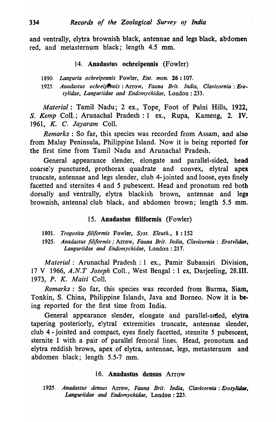and ventrally, elytra brownish black, antennae and legs black, abdomen red, and metasternum black; length 4.5 mm.

#### 14. Anadastus ochreipennis (Fowler)

*1890. Languria ochreipennis* Fowler, *Ent. mon.* 26: 107.

*1925. Anadastus ochreipPnnis:* Arrow, *Fauna Brit. India, Clavicornia: Erotylidae, Languriidae and Endomychidae,* London: 233.

*Material:* Tamil Nadu; 2 ex., Tope, Foot of Palni Hills, 1922, S. *Kemp* ColI.; Arunachal Pradesh : 1 ex., Rupa, Kameng, 2. IV. *1961.* K. C. *Jayaram* ColI.

*Remarks:* So far, this species was recorded from Assam, and also from Malay Peninsula, Philippine Island. Now it is being reported for the first time from Tamil Nadu and Arunachal Pradesh.

General appearance slender, elongate and parallel-sided, head coarse:y punctured, prothorax quadrate and convex, elytral apex truncate, antennae and legs slender, club 4-jointed and loose, eyes finely facetted and sternites 4 and 5 pubescent. Head and pronotum red both dorsally and ventrally, elytra blackish brown, antennae and legs brownish, antennal club black, and abdomen brown; length 5.5 mm.

## 15. Anadastus filiformis (Fowler)

1801. *Trogosita fili/ormis* Fowler, *Syst. Eleuth.,* 1: 152

1925. *Anadastus filiformis* ; Arrow, *Fauna Brit. India, Clavicornia* : Erotvlidae, *Languriidae and Endomychidae,* London: 217.

*Material:* Arunachal Pradesh : 1 ex., Pamir Subansiri Division, 17 V 1966, *A.N. T Joseph* ColI., West Bengal : 1 ex, Darjeeling, 28.111. *1973, P. K. Maili* ColI.

*Remarks:* So far, this species was recorded from Burma, Siam, Tonkin, S. China, Philippine Islands, Java and Borneo. Now it is being reported for the first time from India.

General appearance slender, elongate and parallel-stded, elytra tapering posteriorly, elytral extremities truncate, antennae slender, club 4 - jointed and compact, eyes finely facetted, stennite 5 pubescent, sternite 1 with a pair of parallel femoral lines. Head, pronotum and elytra reddish brown, apex of elytra, antennae, legs, metasternum and abdomen black; length 5.5-7 mm.

## 16. Anadastus densus Arrow

1925. *Anadastus densus* Arrow, *Fauna Brit. India, Clavicornia: Erotylidae*, *Languriidae and Endomychidae,* London: 223.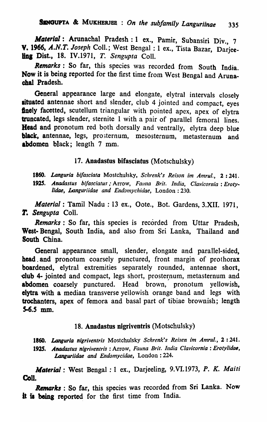*Material*: Arunachal Pradesh: 1 ex., Pamir, Subansiri Div., 7 V. 1966. *A.N.T. Joseph* Coli.; West Bengal: 1 ex., Tista Bazar, Darjee**ling Dist., 18. IV.1971, T. Sengupta Coll.** 

*Remarks:* So far, this species was recorded from South India. Now it is being reported for the first time from West Bengal and Arunachal Pradesh.

General appearance large and elongate, elytral intervals closely situated antennae short and slender, club 4 jointed and compact, eyes finely facetted, scutellum triangular with pointed apex, apex of elytra truncated, legs slender, sternite 1 with a pair of parallel femoral lines. Head and pronotum red both dorsally and ventrally, elytra deep blue black, antennae, legs, prosternum, mesosternum, metasternum and abdomen black; length 7 mm.

## 17. Anadastus bifasciatus (Motschulsky)

*1860. Languria bllasciata* Mostchulsky, *Schrenk's Reison im Antrul.,* 2: 241. 1925. Anadastus bifasciatus; Arrow, Fauna Brit. India, Clavicornia: Erotylidae, Languriidae and Endomychidae, London: 230.

*Material:* Tamil Nadu : 13 ex., Oote., Bot. Gardens, 3.XII. 1971, r. *Sengupta* ColI.

*Remarks* : So far, this species is recorded from Uttar Pradesh, West- Bengal, South India, and also from Sri Lanka, Thailand and South China.

General appearance small, slender, elongate and parallel-sided, head and pronotum coarsely punctured, front margin of prothorax boardened, elytral extremities separately rounded, antennae short, dub 4- jointed and compact, legs short, prosternum, metasternum and abdomen coarsely punctured. Head brown, pronotum yellowish, elytra with a median transverse yellowish orange band and legs with trochanters, apex of femora and basal part of tibiae brownish; length  $5-6.5$  mm.

# 18. Anadastus nigriventris (Motschulsky)

1860. Languria nigriventris Mostchulsky Schrenk's Reisen im Amrul., 2:241. 1925. Anadastus nigriventris : Arrow, Fauna Brit. India Clavicornia : Erotylidae, *Languriidae and Endomycidae,* London: 224.

*Material:* West Bengal: 1 ex., Darjeeling, 9.VI.1973, *P. K. Maiti*  Coll.

Remarks : So far, this species was recorded from Sri Lanka. Now it is being reported for the first time from India.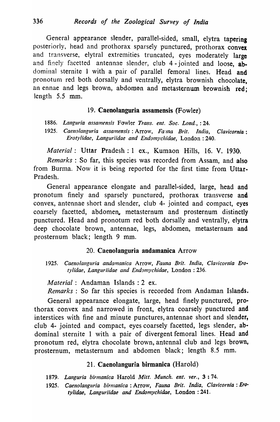General appearance slender, parallel-sided, small, elytra tapering posteriorly, head and prothorax sparsely punctured, prothorax convex and transverse, elytral extremities truncated, eyes moderately large and finely facetted antennae slender, club 4-jointed and loose, abdominal sternite 1 with a pair of parallel femoral lines. Head and pronotum red both dorsally and ventrally, elytra brownish chocolate. an ennae and legs brown, abdomen and metasternum brownish red; length 5.5 mm.

# 19. Caenolanguria assamensis (Fowler)

1886. Languria assamensis Fowler Trans. ent. Soc. Lond., : 24.

1925. Caenolanguria assamensis: Arrow, Fa'ina Brit. India, Clavicornia: *Erotylidae, Languriidae and Endomychidae, London: 240.* 

*Material:* Uttar Pradesh: 1 ex., Kumaon Hills, 16. V. 1930.

*Remarks:* So far, this species was recorded from Assam, and also from Burma. Now it is being reported for the first time from Uttar-Pradesh.

General appearance elongate and parallel-sided, large, head and pronotum finely and sparsely punctured, prothorax transverse and convex, antennae short and slender, club 4- jointed and compact, eyes coarsely facetted, abdomen. metasternum and prosternum distinctly punctured. Head and pronotum red both dorsally and ventrally, elytra deep chocolate brown, antennae, legs, abdomen, metasternum and prosternum black; length 9 mm.

# 20. Caenolanguria andamanica Arrow

1925. Caenolanguria andamanica Arrow, Fauna Brit. India, Clavicornia Ero*tylidae, Languriidae and Endonlychidae,* London: 236.

*Material:* Andaman Islands: 2 ex.

*Remarks:* So far this species is recorded from Andaman Islands.

General appearance elongate, large, head finely punctured, prothorax convex and narrowed in front, elytra coarsely punctured and interstices with fine and minute punctures, antennae short and slender, club 4- jointed and compact, eyes coarsely facetted, legs slender, abdominal sternite 1 with a pair of divergent femoral lines. Head and pronotum red, elytra chocolate brown, antennal club and legs brown, prosternum, metasternum and abdomen black; length 8.5 mm.

# 21. Caenolanguria birmanica (Harold)

*1879. Languria birmanica* Harold *Mitt. Munch. ent. ver.,* 3 : 74.

*1925. Caeno/angllria birnlanica:* Arrow, *Fauna Brit. India, C/avicornia: Ero .. tylitiae, Languriidae and Endomychidae,* London: 241.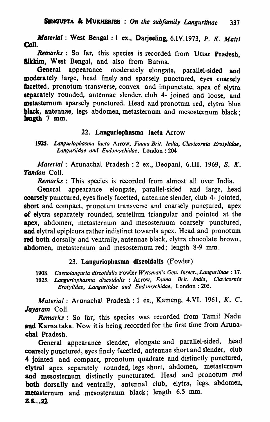*Material*: West Bengal: 1 ex., Darjeeling, 6.IV.1973, P. K. Maiti<br>Coll.

Remarks: So far, this species is recorded from Uttar Pradesh, 8ikkim. West Bengal, and also from Burma.

General appearance moderately elongate, parallel-sided and moderately large, head finely and sparsely punctured, eyes coarsely facetted, pronotum transverse, convex and impunctate, apex of elytra separately rounded, antennae slender, club 4- joined and loose, and metasternum sparsely punctured. Head and pronotum red, elytra blue . black, antennae, legs abdomen, metasternum and mesosternum black; length 7 mm.

## 22. Languriopbasma laeta Arrow

1925. Languriophasma laeta Arrow, Fauna Brit. India, Clavicornia Erotylidae, *Languriidae and Endomychidae,* London: 204

*Material:* Arunachal Pradesh: 2 ex., Deopani, 6.III. 1969, S. *K.*  Tandon Coll.

*Remarks* : This species is recorded from almost all over India.

General appearance elongate, parallel-sided and large, head coarsely punctured, eyes finely facetted, antennae slender, club 4- jointed, short and compact, pronotum transverse and coarsely punctured, apex -of elytra separately rounded, scutellum triangular and pointed at the apex, abdomen, metasternum and mesosternum coarsely punctured, and elytral epipleura rather indistinct towards apex. Head and pronotum red both dorsally and ventrally, antennae black, elytra chocolate brown, abdomen, metasternum and mesosternum red; length 8-9 mm.

## 23. Languriophasma discoidalis (Fowler)

*1908. Caenolallguria discoidalis* Fowler *Wytsman's Gen. Insect., Languriinae* : 17. 1925. Languriophasma discoidalis : Arrow, Fauna Brit. India, Clavicornia *Erotylidae, Languriidae and EndJlnychidae,* London: 205.

*Material:* Arunachal Pradesh: 1 ex., Kameng, 4.VI. 1961, K. C. *Jayaram* ColI.

*Remarks:* So far, this species was recorded from Tamil Nadu and Karna taka. Now it is being recorded for the first time from Arunachal Pradesh.

General appearance slender, elongate and parallel-sided, head coarsely punctured, eyes finely facetted, antennae short and slender, club 4 jointed and compact, pronotum quadrate and distinctly punctured, elytral apex separately rounded, legs short, abdomen, metasternum and mesosternum distinctly puncturated. Head and pronotum ired both dorsally and ventrally, antennal club, elytra, legs, abdomen, metasternum and mesosternum black; length 6.5 mm.  $Z.S. . . 22$